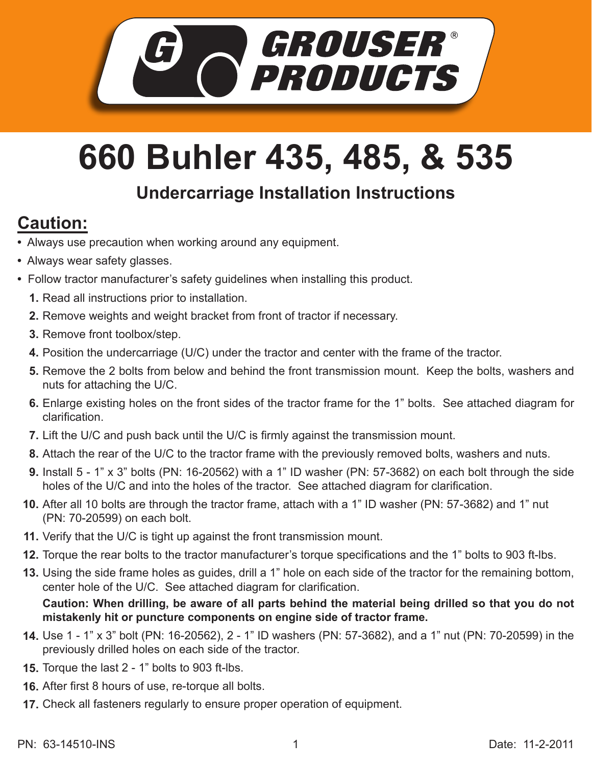

## **660 Buhler 435, 485, & 535**

## **Undercarriage Installation Instructions**

## **Caution:**

- Always use precaution when working around any equipment.
- Always wear safety glasses.
- Follow tractor manufacturer's safety guidelines when installing this product.
	- **1.** Read all instructions prior to installation.
	- 2. Remove weights and weight bracket from front of tractor if necessary.
	- **3.** Remove front toolbox/step.
	- **4.** Position the undercarriage (U/C) under the tractor and center with the frame of the tractor.
	- **5.** Remove the 2 bolts from below and behind the front transmission mount. Keep the bolts, washers and nuts for attaching the U/C.
	- Enlarge existing holes on the front sides of the tractor frame for the 1" bolts. See attached diagram for **6.** clarification.
	- **7.** Lift the U/C and push back until the U/C is firmly against the transmission mount.
	- Attach the rear of the U/C to the tractor frame with the previously removed bolts, washers and nuts. **8.**
	- Install 5 1" x 3" bolts (PN: 16-20562) with a 1" ID washer (PN: 57-3682) on each bolt through the side **9.** holes of the U/C and into the holes of the tractor. See attached diagram for clarification.
	- **10.** After all 10 bolts are through the tractor frame, attach with a 1" ID washer (PN: 57-3682) and 1" nut (PN: 70-20599) on each bolt.
	- **11.** Verify that the U/C is tight up against the front transmission mount.
	- **12.** Torque the rear bolts to the tractor manufacturer's torque specifications and the 1" bolts to 903 ft-lbs.
	- Using the side frame holes as guides, drill a 1" hole on each side of the tractor for the remaining bottom, **13.** center hole of the U/C. See attached diagram for clarification.

**Caution: When drilling, be aware of all parts behind the material being drilled so that you do not mistakenly hit or puncture components on engine side of tractor frame.**

- Use 1 1" x 3" bolt (PN: 16-20562), 2 1" ID washers (PN: 57-3682), and a 1" nut (PN: 70-20599) in the **14.** previously drilled holes on each side of the tractor.
- **15.** Torque the last 2 1" bolts to 903 ft-lbs.
- After first 8 hours of use, re-torque all bolts. **16.**
- 17. Check all fasteners regularly to ensure proper operation of equipment.